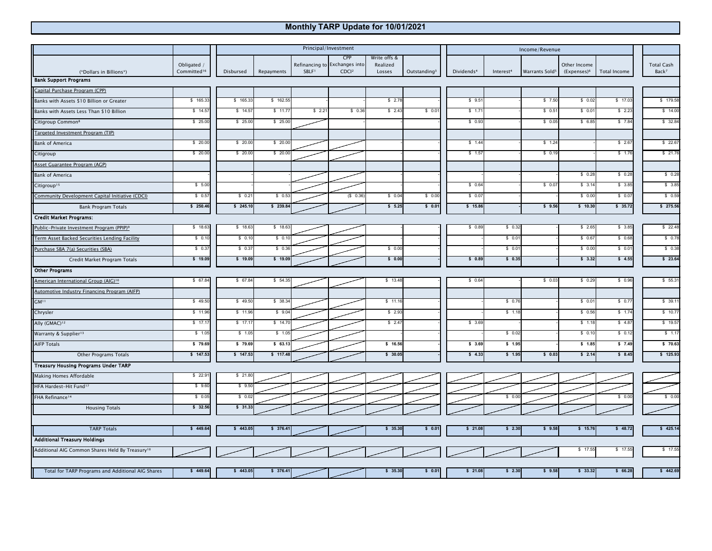## **Monthly TARP Update for 10/01/2021**

|                                                             |                                      | Principal/Investment |            |                   |                                                           |                                    |                          | Income/Revenue         |                       |                            |                               |              |                                        |
|-------------------------------------------------------------|--------------------------------------|----------------------|------------|-------------------|-----------------------------------------------------------|------------------------------------|--------------------------|------------------------|-----------------------|----------------------------|-------------------------------|--------------|----------------------------------------|
| (*Dollars in Billions*)                                     | Obligated<br>Committed <sup>16</sup> | Disbursed            | Repayments | SBLF <sup>1</sup> | CPP<br>Refinancing to Exchanges into<br>CDCI <sup>2</sup> | Write offs &<br>Realized<br>Losses | Outstanding <sup>3</sup> | Dividends <sup>4</sup> | Interest <sup>4</sup> | Warrants Sold <sup>5</sup> | Other Income<br>$(Express)^6$ | Total Income | <b>Total Cash</b><br>Back <sup>7</sup> |
| <b>Bank Support Programs</b>                                |                                      |                      |            |                   |                                                           |                                    |                          |                        |                       |                            |                               |              |                                        |
| Capital Purchase Program (CPP)                              |                                      |                      |            |                   |                                                           |                                    |                          |                        |                       |                            |                               |              |                                        |
| Banks with Assets \$10 Billion or Greater                   | \$165.33                             | \$165.33             | \$162.55   |                   |                                                           | \$2.78                             |                          | \$9.51                 |                       | \$7.50                     | \$0.02                        | \$17.03      | \$179.58                               |
| Banks with Assets Less Than \$10 Billion                    | \$14.57                              | \$14.5               | \$ 11.7    | \$2.21            | \$0.36                                                    | \$2.4                              | \$0.01                   | \$ 1.7'                |                       | \$0.5                      | \$0.0                         | \$ 2.23      | \$14.00                                |
| Citigroup Common <sup>8</sup>                               | \$25.00                              | \$25.00              | \$25.00    |                   |                                                           |                                    |                          | \$0.93                 |                       | \$0.05                     | \$6.85                        | \$7.84       | \$32.84                                |
| Targeted Investment Program (TIP)                           |                                      |                      |            |                   |                                                           |                                    |                          |                        |                       |                            |                               |              |                                        |
| <b>Bank of America</b>                                      | \$20.00                              | \$20.00              | \$20.0     |                   |                                                           |                                    |                          | \$1.44                 |                       | \$1.24                     |                               | \$2.67       | \$22.67                                |
| Citigroup                                                   | \$20.00                              | \$20.00              | \$20.0     |                   |                                                           |                                    |                          | \$ 1.57                |                       | \$0.19                     |                               | \$ 1.76      | \$21.76                                |
| Asset Guarantee Program (AGP)                               |                                      |                      |            |                   |                                                           |                                    |                          |                        |                       |                            |                               |              |                                        |
| Bank of America                                             |                                      |                      |            |                   |                                                           |                                    |                          |                        |                       |                            | \$0.28                        | \$0.28       | \$0.28                                 |
| Citigroup <sup>15</sup>                                     | \$5.00                               |                      |            |                   |                                                           |                                    |                          | \$0.64                 |                       | \$0.07                     | \$3.14                        | \$3.85       | \$3.85                                 |
| Community Development Capital Initiative (CDCI)             | \$ 0.57                              | $$0.2^{\circ}$       | \$ 0.53    |                   | (\$0.36                                                   | \$0.04                             | \$0.00                   | \$0.07                 |                       |                            | \$0.00                        | \$ 0.07      | \$0.59                                 |
| <b>Bank Program Totals</b>                                  | \$250.46                             | \$245.10             | \$239.84   |                   |                                                           | \$5.25                             | \$0.01                   | \$15.86                |                       | \$9.56                     | \$10.30                       | \$35.72      | \$275.56                               |
| <b>Credit Market Programs:</b>                              |                                      |                      |            |                   |                                                           |                                    |                          |                        |                       |                            |                               |              |                                        |
| Public-Private Investment Program (PPIP) <sup>9</sup>       | \$18.63                              | \$18.6               | \$18.6     |                   |                                                           |                                    |                          | \$0.89                 | \$0.32                |                            | \$2.65                        | \$3.85       | \$22.48                                |
| Term Asset Backed Securities Lending Facility               | \$0.10                               | \$0.10               | \$0.10     |                   |                                                           |                                    |                          |                        | $$0.0^{\circ}$        |                            | \$0.67                        | \$0.68       | \$0.78                                 |
| Purchase SBA 7(a) Securities (SBA)                          | \$0.37                               | \$0.37               | \$0.36     |                   |                                                           | \$0.00                             |                          |                        | $$0.0^{\circ}$        |                            | \$0.00                        | \$0.01       | \$0.38                                 |
| Credit Market Program Totals                                | \$19.09                              | \$ 19.09             | \$ 19.09   |                   |                                                           | \$0.00                             |                          | \$0.89                 | \$0.35                |                            | \$3.32                        | \$4.55       | \$23.64                                |
| <b>Other Programs</b>                                       |                                      |                      |            |                   |                                                           |                                    |                          |                        |                       |                            |                               |              |                                        |
| American International Group (AIG) <sup>10</sup>            | \$67.84                              | \$67.84              | \$54.35    |                   |                                                           | \$13.48                            |                          | \$0.64                 |                       | \$0.03                     | \$0.29                        | \$0.96       | \$55.3'                                |
| Automotive Industry Financing Program (AIFP)                |                                      |                      |            |                   |                                                           |                                    |                          |                        |                       |                            |                               |              |                                        |
| GM <sup>11</sup>                                            | \$49.50                              | \$49.50              | \$38.34    |                   |                                                           | \$11.16                            |                          |                        | \$0.7                 |                            | \$0.0                         | \$0.77       | \$39.1                                 |
| Chrysler                                                    | \$11.96                              | \$11.96              | \$9.0      |                   |                                                           | \$2.93                             |                          |                        | \$1.18                |                            | \$0.56                        | \$ 1.74      | \$10.77                                |
| Ally (GMAC) <sup>12</sup>                                   | \$17.17                              | \$17.1               | \$14.70    |                   |                                                           | \$2.47                             |                          | \$3.69                 |                       |                            | \$1.18                        | \$4.87       | \$19.5                                 |
| Warranty & Supplier <sup>13</sup>                           | \$ 1.05                              | \$ 1.05              | \$ 1.0     |                   |                                                           |                                    |                          |                        | \$0.02                |                            | \$0.10                        | \$0.12       | \$1.17                                 |
| <b>AIFP Totals</b>                                          | \$79.69                              | \$79.69              | \$63.1     |                   |                                                           | \$16.56                            |                          | \$3.69                 | \$ 1.95               |                            | \$1.85                        | \$7.49       | \$70.63                                |
| Other Programs Totals                                       | \$147.53                             | \$147.53             | \$117.48   |                   |                                                           | \$30.05                            |                          | \$4.33                 | \$1.95                | \$0.03                     | \$2.14                        | \$8.45       | \$125.93                               |
| <b>Treasury Housing Programs Under TARP</b>                 |                                      |                      |            |                   |                                                           |                                    |                          |                        |                       |                            |                               |              |                                        |
| Making Homes Affordable                                     | \$22.9'                              | \$21.80              |            |                   |                                                           |                                    |                          |                        |                       |                            |                               |              |                                        |
| HFA Hardest-Hit Fund <sup>17</sup>                          | \$9.60                               | \$9.50               |            |                   |                                                           |                                    |                          |                        |                       |                            |                               |              |                                        |
| FHA Refinance <sup>14</sup>                                 | \$0.05                               | \$0.02               |            |                   |                                                           |                                    |                          |                        | \$0.0                 |                            |                               | \$0.00       | \$0.00                                 |
| <b>Housing Totals</b>                                       | \$32.56                              | \$31.3               |            |                   |                                                           |                                    |                          |                        |                       |                            |                               |              |                                        |
|                                                             |                                      |                      |            |                   |                                                           |                                    |                          |                        |                       |                            |                               |              |                                        |
| <b>TARP Totals</b>                                          | \$449.64                             | \$443.05             | \$376.41   |                   |                                                           | \$35.30                            | \$0.01                   | \$21.08                | \$2.30                | \$9.58                     | \$ 15.76                      | \$48.72      | \$425.14                               |
| <b>Additional Treasury Holdings</b>                         |                                      |                      |            |                   |                                                           |                                    |                          |                        |                       |                            |                               |              |                                        |
| Additional AIG Common Shares Held By Treasury <sup>10</sup> |                                      |                      |            |                   |                                                           |                                    |                          |                        |                       |                            | \$17.55                       | \$17.55      | \$17.55                                |
| Total for TARP Programs and Additional AIG Shares           | \$449.64                             | \$443.05             | \$ 376.41  |                   |                                                           | \$35.30                            | \$0.01                   | \$21.08                | \$2.30                | \$9.58                     | \$33.32                       | \$66.28      | \$442.69                               |